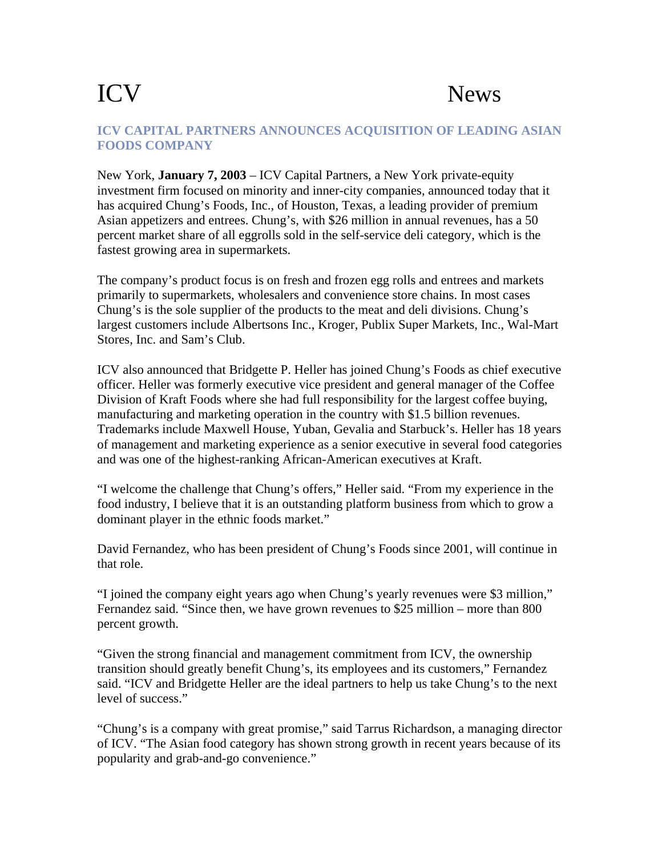## ICV News

## **ICV CAPITAL PARTNERS ANNOUNCES ACQUISITION OF LEADING ASIAN FOODS COMPANY**

New York, **January 7, 2003** – ICV Capital Partners, a New York private-equity investment firm focused on minority and inner-city companies, announced today that it has acquired Chung's Foods, Inc., of Houston, Texas, a leading provider of premium Asian appetizers and entrees. Chung's, with \$26 million in annual revenues, has a 50 percent market share of all eggrolls sold in the self-service deli category, which is the fastest growing area in supermarkets.

The company's product focus is on fresh and frozen egg rolls and entrees and markets primarily to supermarkets, wholesalers and convenience store chains. In most cases Chung's is the sole supplier of the products to the meat and deli divisions. Chung's largest customers include Albertsons Inc., Kroger, Publix Super Markets, Inc., Wal-Mart Stores, Inc. and Sam's Club.

ICV also announced that Bridgette P. Heller has joined Chung's Foods as chief executive officer. Heller was formerly executive vice president and general manager of the Coffee Division of Kraft Foods where she had full responsibility for the largest coffee buying, manufacturing and marketing operation in the country with \$1.5 billion revenues. Trademarks include Maxwell House, Yuban, Gevalia and Starbuck's. Heller has 18 years of management and marketing experience as a senior executive in several food categories and was one of the highest-ranking African-American executives at Kraft.

"I welcome the challenge that Chung's offers," Heller said. "From my experience in the food industry, I believe that it is an outstanding platform business from which to grow a dominant player in the ethnic foods market."

David Fernandez, who has been president of Chung's Foods since 2001, will continue in that role.

"I joined the company eight years ago when Chung's yearly revenues were \$3 million," Fernandez said. "Since then, we have grown revenues to \$25 million – more than 800 percent growth.

"Given the strong financial and management commitment from ICV, the ownership transition should greatly benefit Chung's, its employees and its customers," Fernandez said. "ICV and Bridgette Heller are the ideal partners to help us take Chung's to the next level of success."

"Chung's is a company with great promise," said Tarrus Richardson, a managing director of ICV. "The Asian food category has shown strong growth in recent years because of its popularity and grab-and-go convenience."